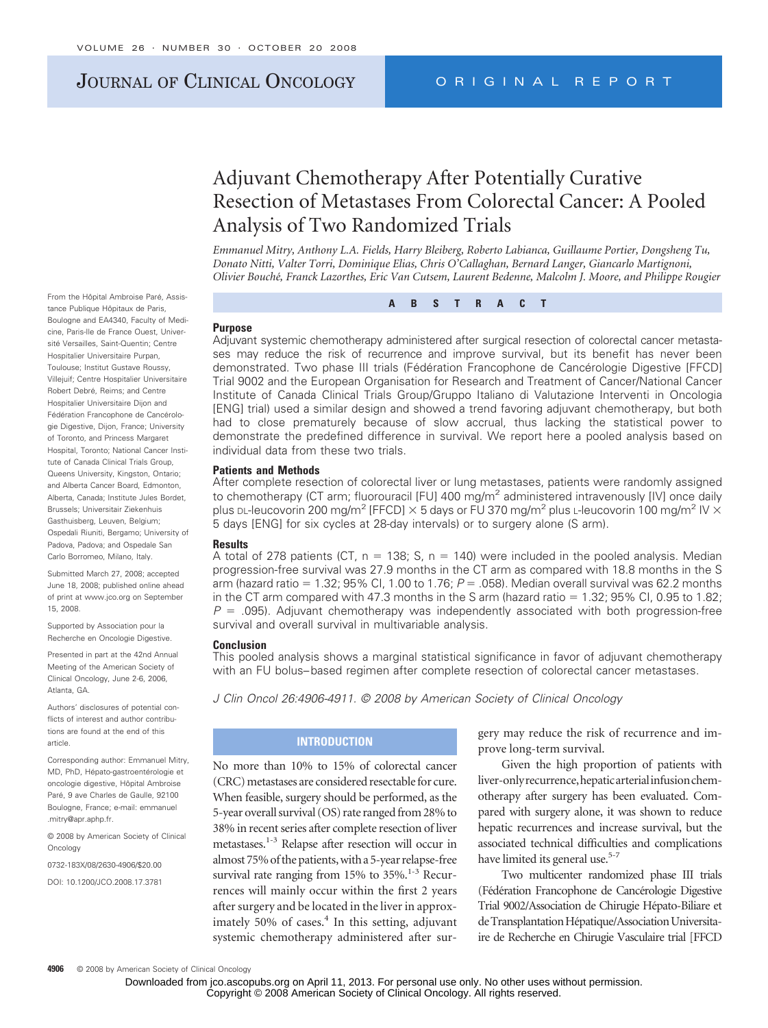# JOURNAL OF CLINICAL ONCOLOGY ORIGINAL REPORT

# Adjuvant Chemotherapy After Potentially Curative Resection of Metastases From Colorectal Cancer: A Pooled Analysis of Two Randomized Trials

*Emmanuel Mitry, Anthony L.A. Fields, Harry Bleiberg, Roberto Labianca, Guillaume Portier, Dongsheng Tu, Donato Nitti, Valter Torri, Dominique Elias, Chris O'Callaghan, Bernard Langer, Giancarlo Martignoni, Olivier Bouche´, Franck Lazorthes, Eric Van Cutsem, Laurent Bedenne, Malcolm J. Moore, and Philippe Rougier*

From the Hôpital Ambroise Paré, Assistance Publique Hôpitaux de Paris, Boulogne and EA4340, Faculty of Medicine, Paris-Ile de France Ouest, Université Versailles, Saint-Quentin; Centre Hospitalier Universitaire Purpan, Toulouse; Institut Gustave Roussy, Villejuif; Centre Hospitalier Universitaire Robert Debré, Reims; and Centre Hospitalier Universitaire Dijon and Fédération Francophone de Cancérologie Digestive, Dijon, France; University of Toronto, and Princess Margaret Hospital, Toronto; National Cancer Institute of Canada Clinical Trials Group, Queens University, Kingston, Ontario; and Alberta Cancer Board, Edmonton, Alberta, Canada; Institute Jules Bordet, Brussels; Universitair Ziekenhuis Gasthuisberg, Leuven, Belgium; Ospedali Riuniti, Bergamo; University of Padova, Padova; and Ospedale San Carlo Borromeo, Milano, Italy.

Submitted March 27, 2008; accepted June 18, 2008; published online ahead of print at www.jco.org on September 15, 2008.

Supported by Association pour la Recherche en Oncologie Digestive.

Presented in part at the 42nd Annual Meeting of the American Society of Clinical Oncology, June 2-6, 2006, Atlanta, GA.

Authors' disclosures of potential conflicts of interest and author contributions are found at the end of this article.

Corresponding author: Emmanuel Mitry, MD, PhD, Hépato-gastroentérologie et oncologie digestive, Hôpital Ambroise Paré, 9 ave Charles de Gaulle, 92100 Boulogne, France; e-mail: emmanuel .mitry@apr.aphp.fr.

© 2008 by American Society of Clinical **Oncology** 

0732-183X/08/2630-4906/\$20.00

DOI: 10.1200/JCO.2008.17.3781

**ABSTRACT**

#### **Purpose**

Adjuvant systemic chemotherapy administered after surgical resection of colorectal cancer metastases may reduce the risk of recurrence and improve survival, but its benefit has never been demonstrated. Two phase III trials (Fédération Francophone de Cancérologie Digestive [FFCD] Trial 9002 and the European Organisation for Research and Treatment of Cancer/National Cancer Institute of Canada Clinical Trials Group/Gruppo Italiano di Valutazione Interventi in Oncologia [ENG] trial) used a similar design and showed a trend favoring adjuvant chemotherapy, but both had to close prematurely because of slow accrual, thus lacking the statistical power to demonstrate the predefined difference in survival. We report here a pooled analysis based on individual data from these two trials.

#### **Patients and Methods**

After complete resection of colorectal liver or lung metastases, patients were randomly assigned to chemotherapy (CT arm; fluorouracil [FU] 400 mg/m<sup>2</sup> administered intravenously [IV] once daily plus DL-leucovorin 200 mg/m<sup>2</sup> [FFCD]  $\times$  5 days or FU 370 mg/m<sup>2</sup> plus L-leucovorin 100 mg/m<sup>2</sup> IV  $\times$ 5 days [ENG] for six cycles at 28-day intervals) or to surgery alone (S arm).

#### **Results**

A total of 278 patients (CT,  $n = 138$ ; S,  $n = 140$ ) were included in the pooled analysis. Median progression-free survival was 27.9 months in the CT arm as compared with 18.8 months in the S arm (hazard ratio = 1.32; 95% Cl, 1.00 to 1.76; *P* = .058). Median overall survival was 62.2 months in the CT arm compared with 47.3 months in the S arm (hazard ratio  $= 1.32$ ; 95% Cl, 0.95 to 1.82;  $P = 0.095$ ). Adjuvant chemotherapy was independently associated with both progression-free survival and overall survival in multivariable analysis.

#### **Conclusion**

This pooled analysis shows a marginal statistical significance in favor of adjuvant chemotherapy with an FU bolus–based regimen after complete resection of colorectal cancer metastases.

*J Clin Oncol 26:4906-4911. © 2008 by American Society of Clinical Oncology*

# **INTRODUCTION**

No more than 10% to 15% of colorectal cancer (CRC) metastases are considered resectable for cure. When feasible, surgery should be performed, as the 5-year overall survival (OS) rate ranged from 28% to 38% in recent series after complete resection of liver metastases.1-3 Relapse after resection will occur in almost75% of the patients,with a5-year relapse-free survival rate ranging from 15% to 35%.<sup>1-3</sup> Recurrences will mainly occur within the first 2 years after surgery and be located in the liver in approximately  $50\%$  of cases. $4$  In this setting, adjuvant systemic chemotherapy administered after surgery may reduce the risk of recurrence and improve long-term survival.

Given the high proportion of patients with liver-onlyrecurrence,hepaticarterialinfusionchemotherapy after surgery has been evaluated. Compared with surgery alone, it was shown to reduce hepatic recurrences and increase survival, but the associated technical difficulties and complications have limited its general use.<sup>5-7</sup>

Two multicenter randomized phase III trials (Fédération Francophone de Cancérologie Digestive Trial 9002/Association de Chirugie Hépato-Biliare et de Transplantation Hépatique/Association Universitaire de Recherche en Chirugie Vasculaire trial [FFCD

**4906** © 2008 by American Society of Clinical Oncology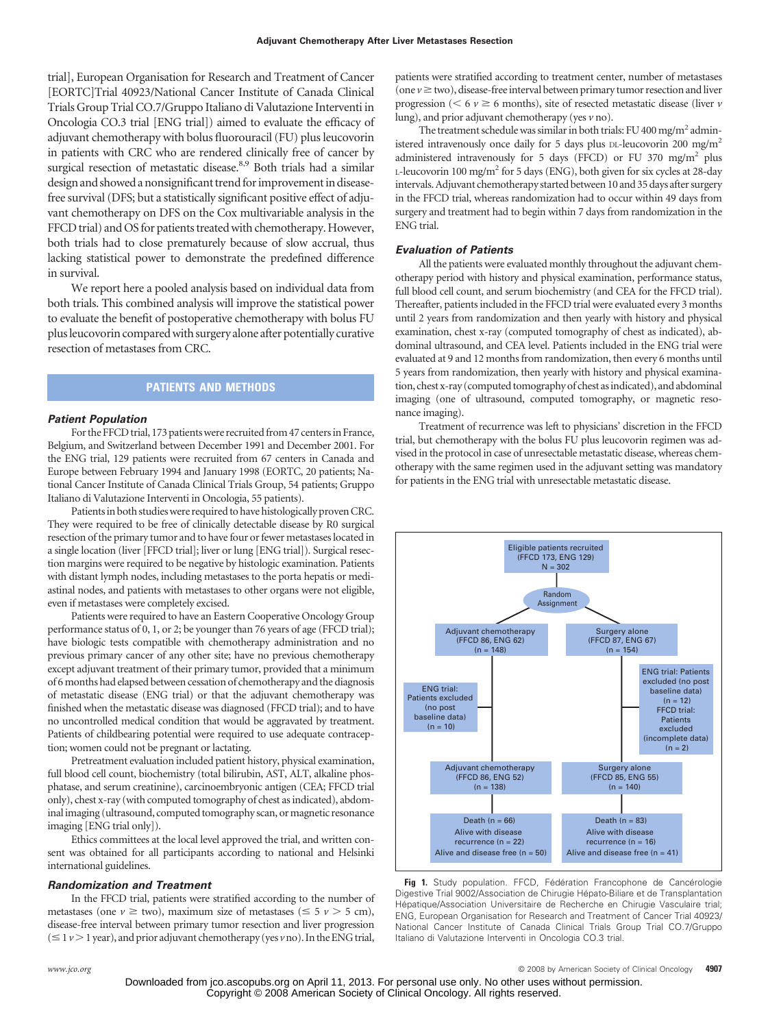trial], European Organisation for Research and Treatment of Cancer [EORTC]Trial 40923/National Cancer Institute of Canada Clinical Trials Group Trial CO.7/Gruppo Italiano di Valutazione Interventi in Oncologia CO.3 trial [ENG trial]) aimed to evaluate the efficacy of adjuvant chemotherapy with bolus fluorouracil (FU) plus leucovorin in patients with CRC who are rendered clinically free of cancer by surgical resection of metastatic disease.<sup>8,9</sup> Both trials had a similar design and showed a nonsignificant trend for improvement in diseasefree survival (DFS; but a statistically significant positive effect of adjuvant chemotherapy on DFS on the Cox multivariable analysis in the FFCD trial) and OS for patients treated with chemotherapy. However, both trials had to close prematurely because of slow accrual, thus lacking statistical power to demonstrate the predefined difference in survival.

We report here a pooled analysis based on individual data from both trials. This combined analysis will improve the statistical power to evaluate the benefit of postoperative chemotherapy with bolus FU plus leucovorin comparedwith surgery alone after potentially curative resection of metastases from CRC.

# **PATIENTS AND METHODS**

#### *Patient Population*

For the FFCD trial, 173 patients were recruited from 47 centers in France, Belgium, and Switzerland between December 1991 and December 2001. For the ENG trial, 129 patients were recruited from 67 centers in Canada and Europe between February 1994 and January 1998 (EORTC, 20 patients; National Cancer Institute of Canada Clinical Trials Group, 54 patients; Gruppo Italiano di Valutazione Interventi in Oncologia, 55 patients).

Patients in both studies were required to have histologically proven CRC. They were required to be free of clinically detectable disease by R0 surgical resection of the primary tumor and to have four or fewer metastases located in a single location (liver [FFCD trial]; liver or lung [ENG trial]). Surgical resection margins were required to be negative by histologic examination. Patients with distant lymph nodes, including metastases to the porta hepatis or mediastinal nodes, and patients with metastases to other organs were not eligible, even if metastases were completely excised.

Patients were required to have an Eastern Cooperative Oncology Group performance status of 0, 1, or 2; be younger than 76 years of age (FFCD trial); have biologic tests compatible with chemotherapy administration and no previous primary cancer of any other site; have no previous chemotherapy except adjuvant treatment of their primary tumor, provided that a minimum of 6 months had elapsed between cessation of chemotherapy and the diagnosis of metastatic disease (ENG trial) or that the adjuvant chemotherapy was finished when the metastatic disease was diagnosed (FFCD trial); and to have no uncontrolled medical condition that would be aggravated by treatment. Patients of childbearing potential were required to use adequate contraception; women could not be pregnant or lactating.

Pretreatment evaluation included patient history, physical examination, full blood cell count, biochemistry (total bilirubin, AST, ALT, alkaline phosphatase, and serum creatinine), carcinoembryonic antigen (CEA; FFCD trial only), chest x-ray (with computed tomography of chest as indicated), abdominal imaging (ultrasound, computed tomography scan, or magnetic resonance imaging [ENG trial only]).

Ethics committees at the local level approved the trial, and written consent was obtained for all participants according to national and Helsinki international guidelines.

#### *Randomization and Treatment*

In the FFCD trial, patients were stratified according to the number of metastases (one  $\nu \ge$  two), maximum size of metastases ( $\le$  5  $\nu$  > 5 cm), disease-free interval between primary tumor resection and liver progression  $($   $\le$  1  $\nu$   $>$  1 year), and prior adjuvant chemotherapy (yes  $\nu$  no). In the ENG trial,

patients were stratified according to treatment center, number of metastases (one  $v \ge$  two), disease-free interval between primary tumor resection and liver progression ( $\leq 6$   $\nu \geq 6$  months), site of resected metastatic disease (liver  $\nu$ lung), and prior adjuvant chemotherapy (yes *v* no).

The treatment schedule was similar in both trials: FU 400 mg/m<sup>2</sup> administered intravenously once daily for 5 days plus DL-leucovorin 200 mg/m<sup>2</sup> administered intravenously for 5 days (FFCD) or FU 370 mg/m<sup>2</sup> plus L-leucovorin 100 mg/m<sup>2</sup> for 5 days (ENG), both given for six cycles at 28-day intervals.Adjuvant chemotherapy started between 10 and 35 days after surgery in the FFCD trial, whereas randomization had to occur within 49 days from surgery and treatment had to begin within 7 days from randomization in the ENG trial.

## *Evaluation of Patients*

All the patients were evaluated monthly throughout the adjuvant chemotherapy period with history and physical examination, performance status, full blood cell count, and serum biochemistry (and CEA for the FFCD trial). Thereafter, patients included in the FFCD trial were evaluated every 3 months until 2 years from randomization and then yearly with history and physical examination, chest x-ray (computed tomography of chest as indicated), abdominal ultrasound, and CEA level. Patients included in the ENG trial were evaluated at 9 and 12 months from randomization, then every 6 months until 5 years from randomization, then yearly with history and physical examination, chest x-ray (computed tomography of chest asindicated), and abdominal imaging (one of ultrasound, computed tomography, or magnetic resonance imaging).

Treatment of recurrence was left to physicians' discretion in the FFCD trial, but chemotherapy with the bolus FU plus leucovorin regimen was advised in the protocol in case of unresectable metastatic disease, whereas chemotherapy with the same regimen used in the adjuvant setting was mandatory for patients in the ENG trial with unresectable metastatic disease.



Fig 1. Study population. FFCD, Fédération Francophone de Cancérologie Digestive Trial 9002/Association de Chirugie Hépato-Biliare et de Transplantation Hépatique/Association Universitaire de Recherche en Chirugie Vasculaire trial; ENG, European Organisation for Research and Treatment of Cancer Trial 40923/ National Cancer Institute of Canada Clinical Trials Group Trial CO.7/Gruppo Italiano di Valutazione Interventi in Oncologia CO.3 trial.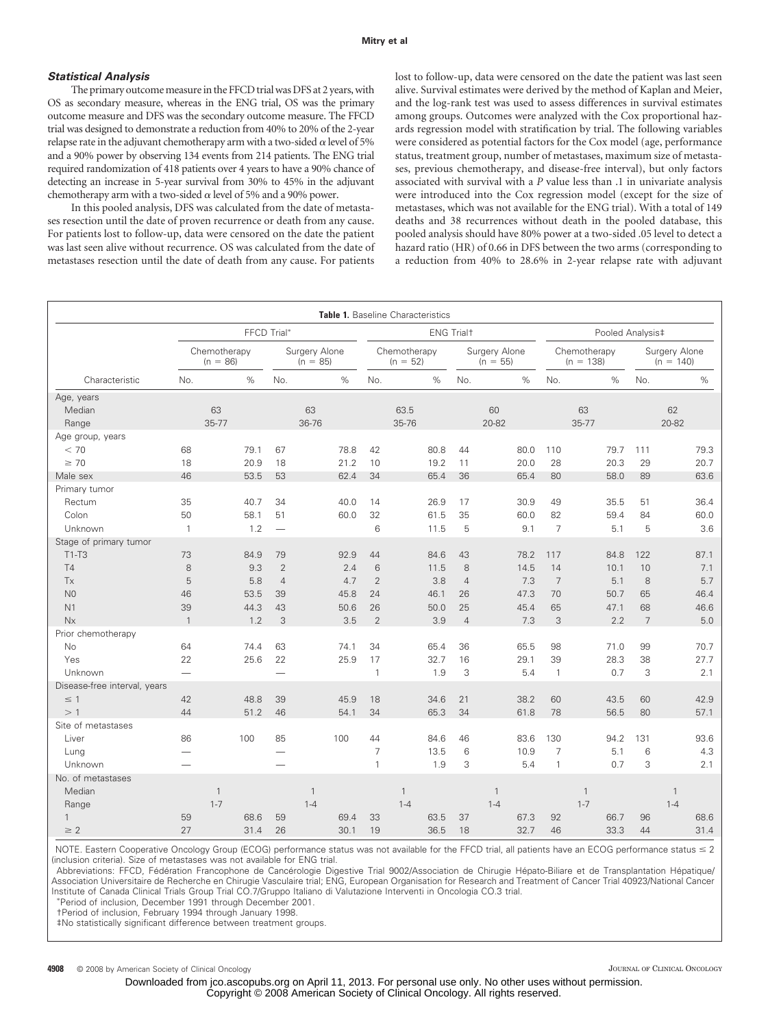#### *Statistical Analysis*

The primary outcome measure in the FFCD trial was DFS at 2 years, with OS as secondary measure, whereas in the ENG trial, OS was the primary outcome measure and DFS was the secondary outcome measure. The FFCD trial was designed to demonstrate a reduction from 40% to 20% of the 2-year relapse rate in the adjuvant chemotherapy arm with a two-sided  $\alpha$  level of 5% and a 90% power by observing 134 events from 214 patients. The ENG trial required randomization of 418 patients over 4 years to have a 90% chance of detecting an increase in 5-year survival from 30% to 45% in the adjuvant chemotherapy arm with a two-sided  $\alpha$  level of 5% and a 90% power.

In this pooled analysis, DFS was calculated from the date of metastases resection until the date of proven recurrence or death from any cause. For patients lost to follow-up, data were censored on the date the patient was last seen alive without recurrence. OS was calculated from the date of metastases resection until the date of death from any cause. For patients lost to follow-up, data were censored on the date the patient was last seen alive. Survival estimates were derived by the method of Kaplan and Meier, and the log-rank test was used to assess differences in survival estimates among groups. Outcomes were analyzed with the Cox proportional hazards regression model with stratification by trial. The following variables were considered as potential factors for the Cox model (age, performance status, treatment group, number of metastases, maximum size of metastases, previous chemotherapy, and disease-free interval), but only factors associated with survival with a *P* value less than .1 in univariate analysis were introduced into the Cox regression model (except for the size of metastases, which was not available for the ENG trial). With a total of 149 deaths and 38 recurrences without death in the pooled database, this pooled analysis should have 80% power at a two-sided .05 level to detect a hazard ratio (HR) of 0.66 in DFS between the two arms (corresponding to a reduction from 40% to 28.6% in 2-year relapse rate with adjuvant

|                                                                                    |                                          |                           |                                           |                                                         |                            |                                           |                                                         | Table 1. Baseline Characteristics |                                            |                                                         |                              |                                            |                                              |                           |                                            |                                                    |                         |                                           |
|------------------------------------------------------------------------------------|------------------------------------------|---------------------------|-------------------------------------------|---------------------------------------------------------|----------------------------|-------------------------------------------|---------------------------------------------------------|-----------------------------------|--------------------------------------------|---------------------------------------------------------|------------------------------|--------------------------------------------|----------------------------------------------|---------------------------|--------------------------------------------|----------------------------------------------------|-------------------------|-------------------------------------------|
|                                                                                    | FFCD Trial*                              |                           |                                           |                                                         | <b>ENG Trialt</b>          |                                           |                                                         |                                   | Pooled Analysis‡                           |                                                         |                              |                                            |                                              |                           |                                            |                                                    |                         |                                           |
|                                                                                    | Chemotherapy<br>$(n = 86)$               |                           | Surgery Alone<br>$(n = 85)$               |                                                         | Chemotherapy<br>$(n = 52)$ |                                           | Surgery Alone<br>$(n = 55)$                             |                                   | Chemotherapy<br>$(n = 138)$                |                                                         | Surgery Alone<br>$(n = 140)$ |                                            |                                              |                           |                                            |                                                    |                         |                                           |
| Characteristic                                                                     | No.                                      |                           | $\%$                                      | No.                                                     |                            | $\%$                                      | No.                                                     |                                   | $\%$                                       | No.                                                     |                              | $\%$                                       | No.                                          |                           | $\%$                                       | No.                                                |                         | $\%$                                      |
| Age, years<br>Median<br>Range                                                      |                                          | 63<br>35-77               |                                           |                                                         | 63<br>36-76                |                                           |                                                         | 63.5<br>35-76                     |                                            |                                                         | 60<br>20-82                  |                                            |                                              | 63<br>35-77               |                                            |                                                    | 62<br>20-82             |                                           |
| Age group, years<br>< 70<br>$\geq 70$<br>Male sex                                  | 68<br>18<br>46                           |                           | 79.1<br>20.9<br>53.5                      | 67<br>18<br>53                                          |                            | 78.8<br>21.2<br>62.4                      | 42<br>10<br>34                                          |                                   | 80.8<br>19.2<br>65.4                       | 44<br>11<br>36                                          |                              | 80.0<br>20.0<br>65.4                       | 110<br>28<br>80                              |                           | 79.7<br>20.3<br>58.0                       | 111<br>29<br>89                                    |                         | 79.3<br>20.7<br>63.6                      |
| Primary tumor<br>Rectum<br>Colon<br>Unknown                                        | 35<br>50<br>$\mathbf{1}$                 |                           | 40.7<br>58.1<br>1.2                       | 34<br>51                                                |                            | 40.0<br>60.0                              | 14<br>32<br>6                                           |                                   | 26.9<br>61.5<br>11.5                       | 17<br>35<br>5                                           |                              | 30.9<br>60.0<br>9.1                        | 49<br>82<br>$\overline{7}$                   |                           | 35.5<br>59.4<br>5.1                        | 51<br>84<br>5                                      |                         | 36.4<br>60.0<br>3.6                       |
| Stage of primary tumor<br>$T1-T3$<br><b>T4</b><br>Tx<br>N <sub>0</sub><br>N1<br>Nx | 73<br>8<br>5<br>46<br>39<br>$\mathbf{1}$ |                           | 84.9<br>9.3<br>5.8<br>53.5<br>44.3<br>1.2 | 79<br>$\overline{2}$<br>$\overline{4}$<br>39<br>43<br>3 |                            | 92.9<br>2.4<br>4.7<br>45.8<br>50.6<br>3.5 | 44<br>6<br>$\overline{2}$<br>24<br>26<br>$\overline{2}$ |                                   | 84.6<br>11.5<br>3.8<br>46.1<br>50.0<br>3.9 | 43<br>8<br>$\overline{4}$<br>26<br>25<br>$\overline{4}$ |                              | 78.2<br>14.5<br>7.3<br>47.3<br>45.4<br>7.3 | 117<br>14<br>$\overline{7}$<br>70<br>65<br>3 |                           | 84.8<br>10.1<br>5.1<br>50.7<br>47.1<br>2.2 | 122<br>10<br>$\,8\,$<br>65<br>68<br>$\overline{7}$ |                         | 87.1<br>7.1<br>5.7<br>46.4<br>46.6<br>5.0 |
| Prior chemotherapy<br><b>No</b><br>Yes<br>Unknown                                  | 64<br>22                                 |                           | 74.4<br>25.6                              | 63<br>22<br>$\overline{\phantom{0}}$                    |                            | 74.1<br>25.9                              | 34<br>17<br>$\mathbf{1}$                                |                                   | 65.4<br>32.7<br>1.9                        | 36<br>16<br>3                                           |                              | 65.5<br>29.1<br>5.4                        | 98<br>39<br>$\overline{1}$                   |                           | 71.0<br>28.3<br>0.7                        | 99<br>38<br>3                                      |                         | 70.7<br>27.7<br>2.1                       |
| Disease-free interval, years<br>$\leq$ 1<br>>1                                     | 42<br>44                                 |                           | 48.8<br>51.2                              | 39<br>46                                                |                            | 45.9<br>54.1                              | 18<br>34                                                |                                   | 34.6<br>65.3                               | 21<br>34                                                |                              | 38.2<br>61.8                               | 60<br>78                                     |                           | 43.5<br>56.5                               | 60<br>80                                           |                         | 42.9<br>57.1                              |
| Site of metastases<br>Liver<br>Lung<br>Unknown                                     | 86                                       |                           | 100                                       | 85                                                      |                            | 100                                       | 44<br>7<br>$\mathbf{1}$                                 |                                   | 84.6<br>13.5<br>1.9                        | 46<br>6<br>3                                            |                              | 83.6<br>10.9<br>5.4                        | 130<br>$\overline{7}$<br>$\mathbf{1}$        |                           | 94.2<br>5.1<br>0.7                         | 131<br>6<br>3                                      |                         | 93.6<br>4.3<br>2.1                        |
| No. of metastases<br>Median<br>Range<br>$\mathbf{1}$<br>$\geq 2$                   | 59<br>27                                 | $\overline{1}$<br>$1 - 7$ | 68.6<br>31.4                              | 59<br>26                                                | $\mathbf{1}$<br>$1 - 4$    | 69.4<br>30.1                              | 33<br>19                                                | $\overline{1}$<br>$1 - 4$         | 63.5<br>36.5                               | 37<br>18                                                | $\overline{1}$<br>$1 - 4$    | 67.3<br>32.7                               | 92<br>46                                     | $\overline{1}$<br>$1 - 7$ | 66.7<br>33.3                               | 96<br>44                                           | $\mathbf{1}$<br>$1 - 4$ | 68.6<br>31.4                              |

NOTE. Eastern Cooperative Oncology Group (ECOG) performance status was not available for the FFCD trial, all patients have an ECOG performance status  $\leq$  2 (inclusion criteria). Size of metastases was not available for ENG trial.

Abbreviations: FFCD, Fédération Francophone de Cancérologie Digestive Trial 9002/Association de Chirugie Hépato-Biliare et de Transplantation Hépatique/ Association Universitaire de Recherche en Chirugie Vasculaire trial; ENG, European Organisation for Research and Treatment of Cancer Trial 40923/National Cancer Institute of Canada Clinical Trials Group Trial CO.7/Gruppo Italiano di Valutazione Interventi in Oncologia CO.3 trial.

Period of inclusion, December 1991 through December 2001.

†Period of inclusion, February 1994 through January 1998.

‡No statistically significant difference between treatment groups.

**4908** © 2008 by American Society of Clinical Oncology **Clinical Oncology** JOURNAL OF CLINICAL ONCOLOGY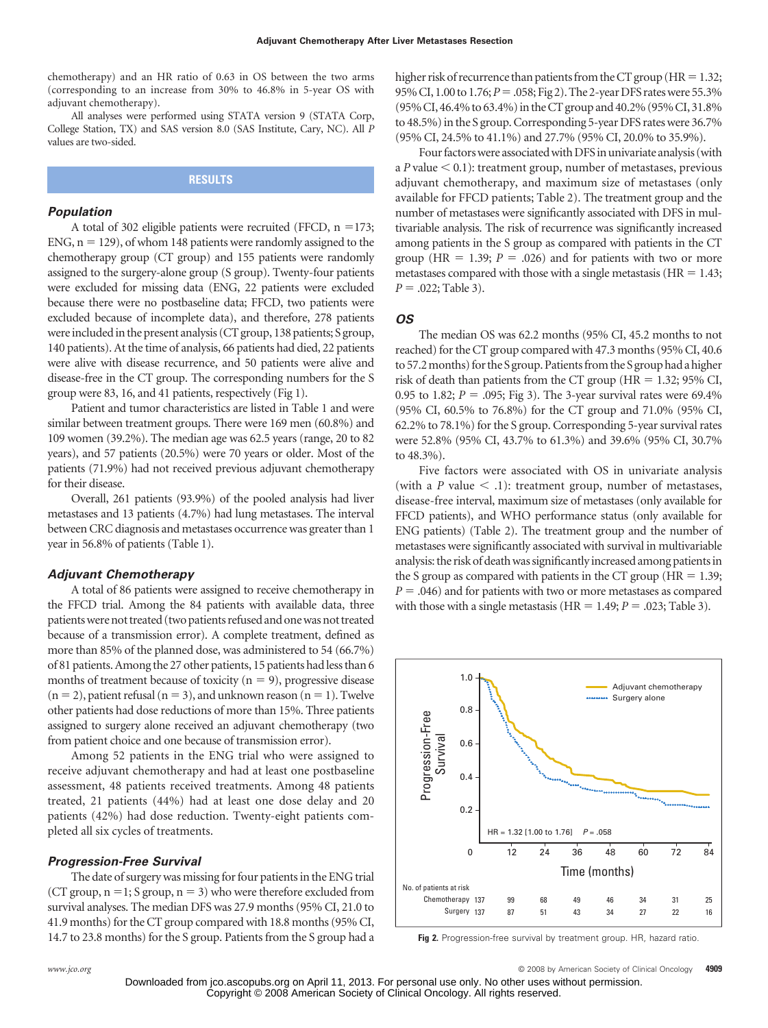chemotherapy) and an HR ratio of 0.63 in OS between the two arms (corresponding to an increase from 30% to 46.8% in 5-year OS with adjuvant chemotherapy).

All analyses were performed using STATA version 9 (STATA Corp, College Station, TX) and SAS version 8.0 (SAS Institute, Cary, NC). All *P* values are two-sided.

# **RESULTS**

#### *Population*

A total of 302 eligible patients were recruited (FFCD,  $n = 173$ ;  $ENG$ ,  $n = 129$ ), of whom 148 patients were randomly assigned to the chemotherapy group (CT group) and 155 patients were randomly assigned to the surgery-alone group (S group). Twenty-four patients were excluded for missing data (ENG, 22 patients were excluded because there were no postbaseline data; FFCD, two patients were excluded because of incomplete data), and therefore, 278 patients were included in the present analysis (CT group, 138 patients; S group, 140 patients). At the time of analysis, 66 patients had died, 22 patients were alive with disease recurrence, and 50 patients were alive and disease-free in the CT group. The corresponding numbers for the S group were 83, 16, and 41 patients, respectively (Fig 1).

Patient and tumor characteristics are listed in Table 1 and were similar between treatment groups. There were 169 men (60.8%) and 109 women (39.2%). The median age was 62.5 years (range, 20 to 82 years), and 57 patients (20.5%) were 70 years or older. Most of the patients (71.9%) had not received previous adjuvant chemotherapy for their disease.

Overall, 261 patients (93.9%) of the pooled analysis had liver metastases and 13 patients (4.7%) had lung metastases. The interval between CRC diagnosis and metastases occurrence was greater than 1 year in 56.8% of patients (Table 1).

#### *Adjuvant Chemotherapy*

A total of 86 patients were assigned to receive chemotherapy in the FFCD trial. Among the 84 patients with available data, three patientswere not treated (two patients refused and onewas not treated because of a transmission error). A complete treatment, defined as more than 85% of the planned dose, was administered to 54 (66.7%) of 81 patients. Among the 27 other patients, 15 patients had less than 6 months of treatment because of toxicity  $(n = 9)$ , progressive disease  $(n = 2)$ , patient refusal  $(n = 3)$ , and unknown reason  $(n = 1)$ . Twelve other patients had dose reductions of more than 15%. Three patients assigned to surgery alone received an adjuvant chemotherapy (two from patient choice and one because of transmission error).

Among 52 patients in the ENG trial who were assigned to receive adjuvant chemotherapy and had at least one postbaseline assessment, 48 patients received treatments. Among 48 patients treated, 21 patients (44%) had at least one dose delay and 20 patients (42%) had dose reduction. Twenty-eight patients completed all six cycles of treatments.

#### *Progression-Free Survival*

The date of surgery was missing for four patients in the ENG trial (CT group,  $n = 1$ ; S group,  $n = 3$ ) who were therefore excluded from survival analyses. The median DFS was 27.9 months (95% CI, 21.0 to 41.9 months) for the CT group compared with 18.8 months (95% CI, 14.7 to 23.8 months) for the S group. Patients from the S group had a

higher risk of recurrence than patients from the CT group ( $HR = 1.32$ ; 95%CI, 1.00 to 1.76;*P*-.058; Fig 2). The 2-yearDFS rateswere 55.3% (95% CI, 46.4% to 63.4%) in the CT group and 40.2% (95% CI, 31.8%) to 48.5%) in the S group. Corresponding 5-year DFS rates were 36.7% (95% CI, 24.5% to 41.1%) and 27.7% (95% CI, 20.0% to 35.9%).

Four factors were associated with DFS in univariate analysis (with a  $P$  value  $\leq 0.1$ ): treatment group, number of metastases, previous adjuvant chemotherapy, and maximum size of metastases (only available for FFCD patients; Table 2). The treatment group and the number of metastases were significantly associated with DFS in multivariable analysis. The risk of recurrence was significantly increased among patients in the S group as compared with patients in the CT group ( $HR = 1.39$ ;  $P = .026$ ) and for patients with two or more metastases compared with those with a single metastasis ( $HR = 1.43$ ;  $P = .022;$  Table 3).

#### *OS*

The median OS was 62.2 months (95% CI, 45.2 months to not reached) for the CT group compared with 47.3 months (95% CI, 40.6 to 57.2 months) for the S group. Patients from the S group had a higher risk of death than patients from the CT group ( $HR = 1.32$ ; 95% CI, 0.95 to 1.82;  $P = 0.095$ ; Fig 3). The 3-year survival rates were 69.4% (95% CI, 60.5% to 76.8%) for the CT group and 71.0% (95% CI, 62.2% to 78.1%) for the S group. Corresponding 5-year survival rates were 52.8% (95% CI, 43.7% to 61.3%) and 39.6% (95% CI, 30.7% to 48.3%).

Five factors were associated with OS in univariate analysis (with a *P* value  $\le$  .1): treatment group, number of metastases, disease-free interval, maximum size of metastases (only available for FFCD patients), and WHO performance status (only available for ENG patients) (Table 2). The treatment group and the number of metastases were significantly associated with survival in multivariable analysis: the risk of death was significantly increased among patients in the S group as compared with patients in the CT group ( $HR = 1.39$ ;  $P = 0.046$ ) and for patients with two or more metastases as compared with those with a single metastasis ( $HR = 1.49; P = .023; Table 3$ ).



**Fig 2.** Progression-free survival by treatment group. HR, hazard ratio.

*www.jco.org* © 2008 by American Society of Clinical Oncology **4909**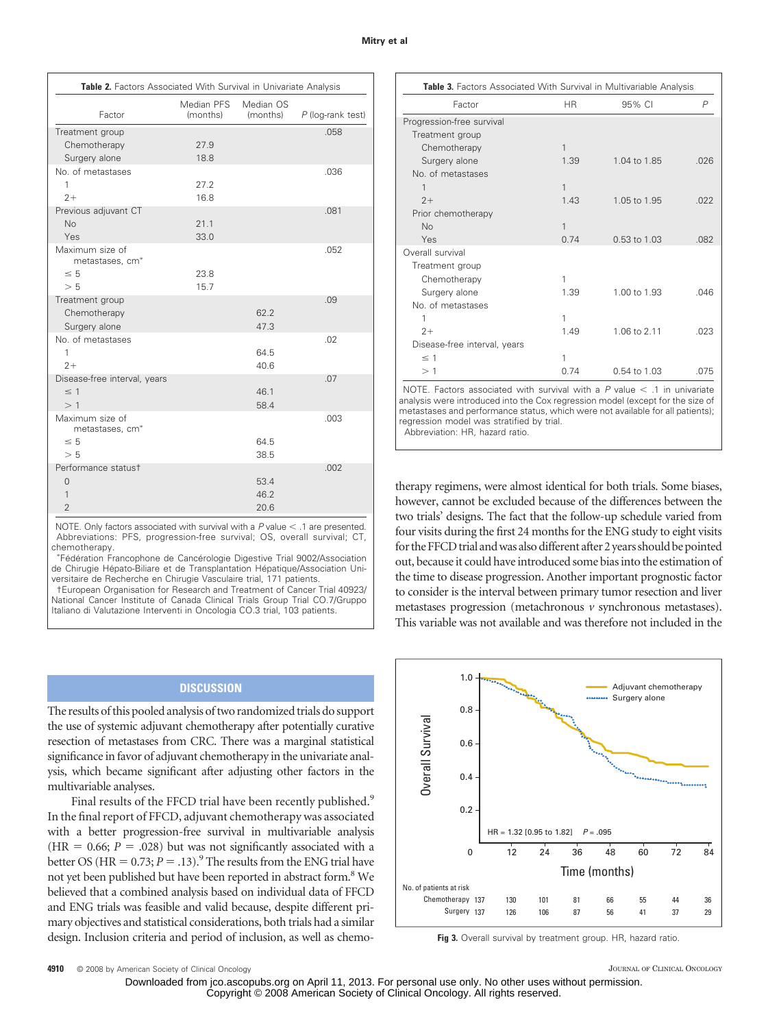| Table 2. Factors Associated With Survival in Univariate Analysis |                        |                       |                     |  |  |  |  |
|------------------------------------------------------------------|------------------------|-----------------------|---------------------|--|--|--|--|
| Factor                                                           | Median PFS<br>(months) | Median OS<br>(months) | $P$ (log-rank test) |  |  |  |  |
| Treatment group                                                  |                        |                       | .058                |  |  |  |  |
| Chemotherapy                                                     | 27.9                   |                       |                     |  |  |  |  |
| Surgery alone                                                    | 18.8                   |                       |                     |  |  |  |  |
| No. of metastases                                                |                        |                       | .036                |  |  |  |  |
| 1                                                                | 27.2                   |                       |                     |  |  |  |  |
| $2+$                                                             | 16.8                   |                       |                     |  |  |  |  |
| Previous adjuvant CT                                             |                        |                       | .081                |  |  |  |  |
| <b>No</b>                                                        | 21.1                   |                       |                     |  |  |  |  |
| Yes                                                              | 33.0                   |                       |                     |  |  |  |  |
| Maximum size of<br>metastases, cm <sup>*</sup>                   |                        |                       | .052                |  |  |  |  |
| $\leq 5$                                                         | 23.8                   |                       |                     |  |  |  |  |
| > 5                                                              | 15.7                   |                       |                     |  |  |  |  |
| Treatment group                                                  |                        |                       | .09                 |  |  |  |  |
| Chemotherapy                                                     |                        | 62.2                  |                     |  |  |  |  |
| Surgery alone                                                    |                        | 47.3                  |                     |  |  |  |  |
| No. of metastases                                                |                        |                       | .02                 |  |  |  |  |
| 1                                                                |                        | 64.5                  |                     |  |  |  |  |
| $2+$                                                             |                        | 40.6                  |                     |  |  |  |  |
| Disease-free interval, years                                     |                        |                       | .07                 |  |  |  |  |
| $\leq$ 1                                                         |                        | 46.1                  |                     |  |  |  |  |
| >1                                                               |                        | 58.4                  |                     |  |  |  |  |
| Maximum size of<br>metastases, cm <sup>*</sup>                   |                        |                       | .003                |  |  |  |  |
| $\leq 5$                                                         |                        | 64.5                  |                     |  |  |  |  |
| > 5                                                              |                        | 38.5                  |                     |  |  |  |  |
| Performance statust                                              |                        |                       | .002                |  |  |  |  |
| $\overline{0}$                                                   |                        | 53.4                  |                     |  |  |  |  |
| 1                                                                |                        | 46.2                  |                     |  |  |  |  |
| $\overline{2}$                                                   |                        | 20.6                  |                     |  |  |  |  |

NOTE. Only factors associated with survival with a P value < .1 are presented. Abbreviations: PFS, progression-free survival; OS, overall survival; CT, chemotherapy.

 Fédération Francophone de Cancérologie Digestive Trial 9002/Association de Chirugie Hépato-Biliare et de Transplantation Hépatique/Association Universitaire de Recherche en Chirugie Vasculaire trial, 171 patients.

†European Organisation for Research and Treatment of Cancer Trial 40923/ National Cancer Institute of Canada Clinical Trials Group Trial CO.7/Gruppo Italiano di Valutazione Interventi in Oncologia CO.3 trial, 103 patients.

# **DISCUSSION**

The results of this pooled analysis of two randomized trials do support the use of systemic adjuvant chemotherapy after potentially curative resection of metastases from CRC. There was a marginal statistical significance in favor of adjuvant chemotherapy in the univariate analysis, which became significant after adjusting other factors in the multivariable analyses.

Final results of the FFCD trial have been recently published.<sup>9</sup> In the final report of FFCD, adjuvant chemotherapy was associated with a better progression-free survival in multivariable analysis  $(HR = 0.66; P = .028)$  but was not significantly associated with a better OS ( $HR = 0.73; P = .13$ ).<sup>9</sup> The results from the ENG trial have not yet been published but have been reported in abstract form.<sup>8</sup> We believed that a combined analysis based on individual data of FFCD and ENG trials was feasible and valid because, despite different primary objectives and statistical considerations, both trials had a similar design. Inclusion criteria and period of inclusion, as well as chemo-

| Table 3. Factors Associated With Survival in Multivariable Analysis |           |              |                |  |  |  |  |
|---------------------------------------------------------------------|-----------|--------------|----------------|--|--|--|--|
| Factor                                                              | <b>HR</b> | 95% CI       | $\overline{P}$ |  |  |  |  |
| Progression-free survival                                           |           |              |                |  |  |  |  |
| Treatment group                                                     |           |              |                |  |  |  |  |
| Chemotherapy                                                        | 1         |              |                |  |  |  |  |
| Surgery alone                                                       | 1.39      | 1.04 to 1.85 | .026           |  |  |  |  |
| No. of metastases                                                   |           |              |                |  |  |  |  |
| 1                                                                   | 1         |              |                |  |  |  |  |
| $2+$                                                                | 1.43      | 1.05 to 1.95 | .022           |  |  |  |  |
| Prior chemotherapy                                                  |           |              |                |  |  |  |  |
| No                                                                  | 1         |              |                |  |  |  |  |
| Yes                                                                 | 0.74      | 0.53 to 1.03 | .082           |  |  |  |  |
| Overall survival                                                    |           |              |                |  |  |  |  |
| Treatment group                                                     |           |              |                |  |  |  |  |
| Chemotherapy                                                        | 1         |              |                |  |  |  |  |
| Surgery alone                                                       | 1.39      | 1.00 to 1.93 | .046           |  |  |  |  |
| No. of metastases                                                   |           |              |                |  |  |  |  |
| 1                                                                   | 1         |              |                |  |  |  |  |
| $2+$                                                                | 1.49      | 1.06 to 2.11 | .023           |  |  |  |  |
| Disease-free interval, years                                        |           |              |                |  |  |  |  |
| $\leq$ 1                                                            | 1         |              |                |  |  |  |  |
| >1                                                                  | 0.74      | 0.54 to 1.03 | .075           |  |  |  |  |

NOTE. Factors associated with survival with a  $P$  value  $\le$  .1 in univariate analysis were introduced into the Cox regression model (except for the size of metastases and performance status, which were not available for all patients); regression model was stratified by trial.

Abbreviation: HR, hazard ratio.

therapy regimens, were almost identical for both trials. Some biases, however, cannot be excluded because of the differences between the two trials' designs. The fact that the follow-up schedule varied from four visits during the first 24 months for the ENG study to eight visits for the FFCD trial and was also different after 2 years should be pointed out, because it could have introduced some bias into the estimation of the time to disease progression. Another important prognostic factor to consider is the interval between primary tumor resection and liver metastases progression (metachronous *v* synchronous metastases). This variable was not available and was therefore not included in the



**Fig 3.** Overall survival by treatment group. HR, hazard ratio.

**4910** © 2008 by American Society of Clinical Oncology **Clinical Oncology** JOURNAL OF CLINICAL ONCOLOGY